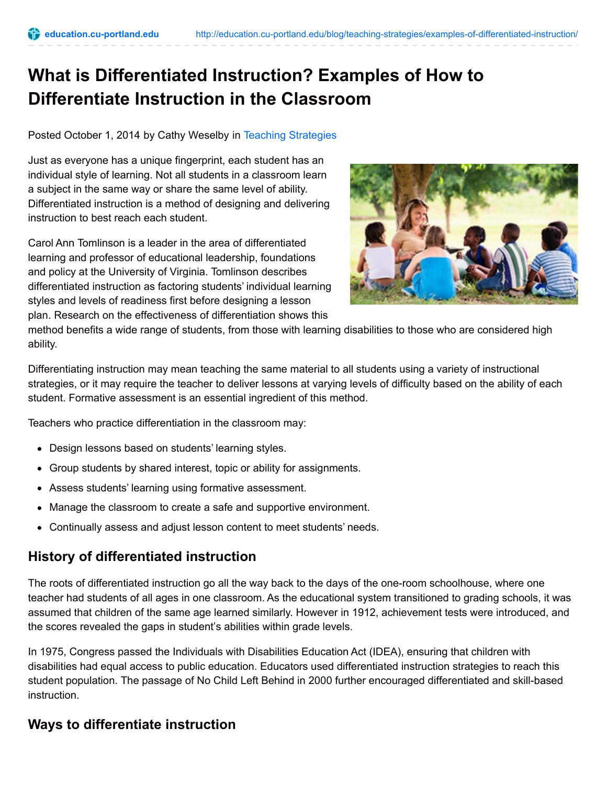# **What is Differentiated Instruction? Examples of How to Differentiate Instruction in the Classroom**

Posted October 1, 2014 by Cathy Weselby in Teaching [Strategies](http://education.cu-portland.edu/category/blog/teaching-strategies/)

Just as everyone has a unique fingerprint, each student has an individual style of learning. Not all students in a classroom learn a subject in the same way or share the same level of ability. Differentiated instruction is a method of designing and delivering instruction to best reach each student.

Carol Ann Tomlinson is a leader in the area of differentiated learning and professor of educational leadership, foundations and policy at the University of Virginia. Tomlinson describes differentiated instruction as factoring students' individual learning styles and levels of readiness first before designing a lesson plan. Research on the effectiveness of differentiation shows this



method benefits a wide range of students, from those with learning disabilities to those who are considered high ability.

Differentiating instruction may mean teaching the same material to all students using a variety of instructional strategies, or it may require the teacher to deliver lessons at varying levels of difficulty based on the ability of each student. Formative assessment is an essential ingredient of this method.

Teachers who practice differentiation in the classroom may:

- Design lessons based on students' learning styles.
- Group students by shared interest, topic or ability for assignments.
- Assess students' learning using formative assessment.
- Manage the classroom to create a safe and supportive environment.
- Continually assess and adjust lesson content to meet students' needs.

## **History of differentiated instruction**

The roots of differentiated instruction go all the way back to the days of the one-room schoolhouse, where one teacher had students of all ages in one classroom. As the educational system transitioned to grading schools, it was assumed that children of the same age learned similarly. However in 1912, achievement tests were introduced, and the scores revealed the gaps in student's abilities within grade levels.

In 1975, Congress passed the Individuals with Disabilities Education Act (IDEA), ensuring that children with disabilities had equal access to public education. Educators used differentiated instruction strategies to reach this student population. The passage of No Child Left Behind in 2000 further encouraged differentiated and skill-based instruction.

# **Ways to differentiate instruction**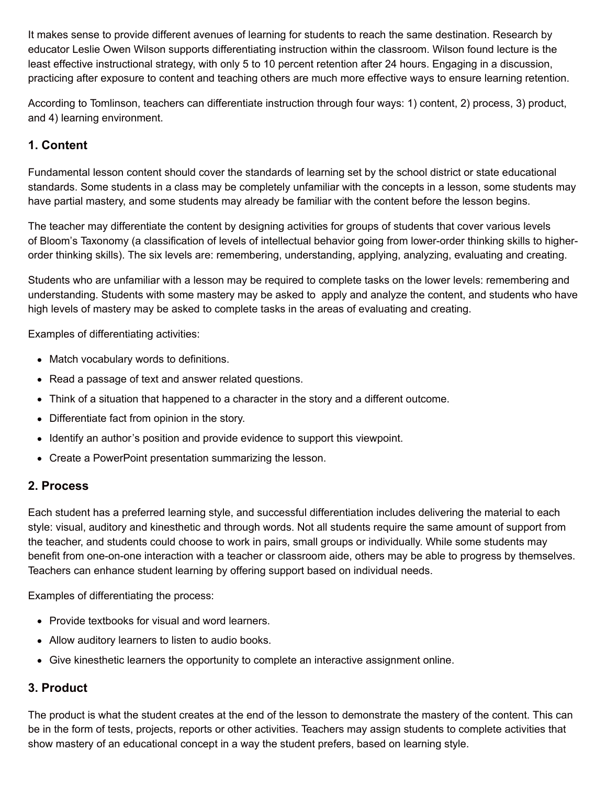It makes sense to provide different avenues of learning for students to reach the same destination. Research by educator Leslie Owen Wilson supports differentiating instruction within the classroom. Wilson found lecture is the least effective instructional strategy, with only 5 to 10 percent retention after 24 hours. Engaging in a discussion, practicing after exposure to content and teaching others are much more effective ways to ensure learning retention.

According to Tomlinson, teachers can differentiate instruction through four ways: 1) content, 2) process, 3) product, and 4) learning environment.

## **1. Content**

Fundamental lesson content should cover the standards of learning set by the school district or state educational standards. Some students in a class may be completely unfamiliar with the concepts in a lesson, some students may have partial mastery, and some students may already be familiar with the content before the lesson begins.

The teacher may differentiate the content by designing activities for groups of students that cover various levels of Bloom's Taxonomy (a classification of levels of intellectual behavior going from lower-order thinking skills to higherorder thinking skills). The six levels are: remembering, understanding, applying, analyzing, evaluating and creating.

Students who are unfamiliar with a lesson may be required to complete tasks on the lower levels: remembering and understanding. Students with some mastery may be asked to apply and analyze the content, and students who have high levels of mastery may be asked to complete tasks in the areas of evaluating and creating.

Examples of differentiating activities:

- Match vocabulary words to definitions.
- Read a passage of text and answer related questions.
- Think of a situation that happened to a character in the story and a different outcome.
- Differentiate fact from opinion in the story.
- Identify an author's position and provide evidence to support this viewpoint.
- Create a PowerPoint presentation summarizing the lesson.

#### **2. Process**

Each student has a preferred learning style, and successful differentiation includes delivering the material to each style: visual, auditory and kinesthetic and through words. Not all students require the same amount of support from the teacher, and students could choose to work in pairs, small groups or individually. While some students may benefit from one-on-one interaction with a teacher or classroom aide, others may be able to progress by themselves. Teachers can enhance student learning by offering support based on individual needs.

Examples of differentiating the process:

- Provide textbooks for visual and word learners.
- Allow auditory learners to listen to audio books.
- Give kinesthetic learners the opportunity to complete an interactive assignment online.

## **3. Product**

The product is what the student creates at the end of the lesson to demonstrate the mastery of the content. This can be in the form of tests, projects, reports or other activities. Teachers may assign students to complete activities that show mastery of an educational concept in a way the student prefers, based on learning style.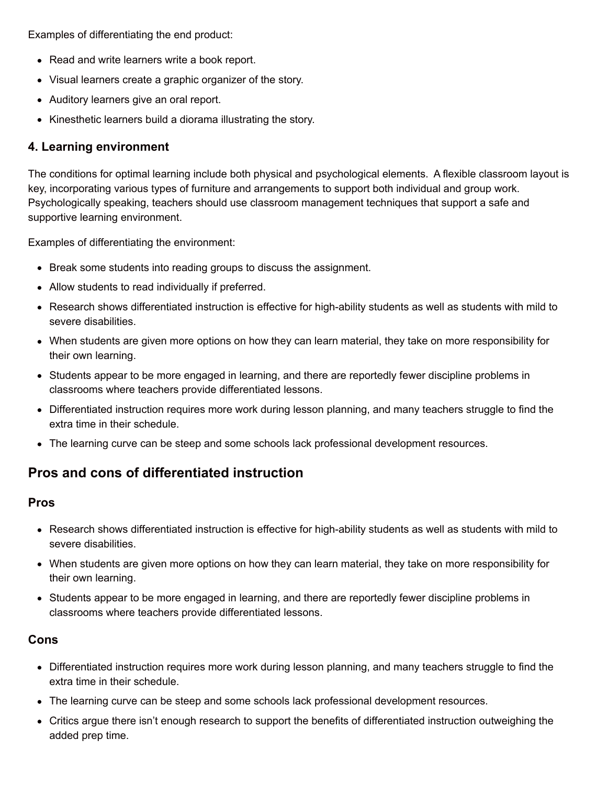Examples of differentiating the end product:

- Read and write learners write a book report.
- Visual learners create a graphic organizer of the story.
- Auditory learners give an oral report.
- Kinesthetic learners build a diorama illustrating the story.

### **4. Learning environment**

The conditions for optimal learning include both physical and psychological elements. A flexible classroom layout is key, incorporating various types of furniture and arrangements to support both individual and group work. Psychologically speaking, teachers should use classroom management techniques that support a safe and supportive learning environment.

Examples of differentiating the environment:

- Break some students into reading groups to discuss the assignment.
- Allow students to read individually if preferred.
- Research shows differentiated instruction is effective for high-ability students as well as students with mild to severe disabilities.
- When students are given more options on how they can learn material, they take on more responsibility for their own learning.
- Students appear to be more engaged in learning, and there are reportedly fewer discipline problems in classrooms where teachers provide differentiated lessons.
- Differentiated instruction requires more work during lesson planning, and many teachers struggle to find the extra time in their schedule.
- The learning curve can be steep and some schools lack professional development resources.

# **Pros and cons of differentiated instruction**

#### **Pros**

- Research shows differentiated instruction is effective for high-ability students as well as students with mild to severe disabilities.
- When students are given more options on how they can learn material, they take on more responsibility for their own learning.
- Students appear to be more engaged in learning, and there are reportedly fewer discipline problems in classrooms where teachers provide differentiated lessons.

#### **Cons**

- Differentiated instruction requires more work during lesson planning, and many teachers struggle to find the extra time in their schedule.
- The learning curve can be steep and some schools lack professional development resources.
- Critics argue there isn't enough research to support the benefits of differentiated instruction outweighing the added prep time.